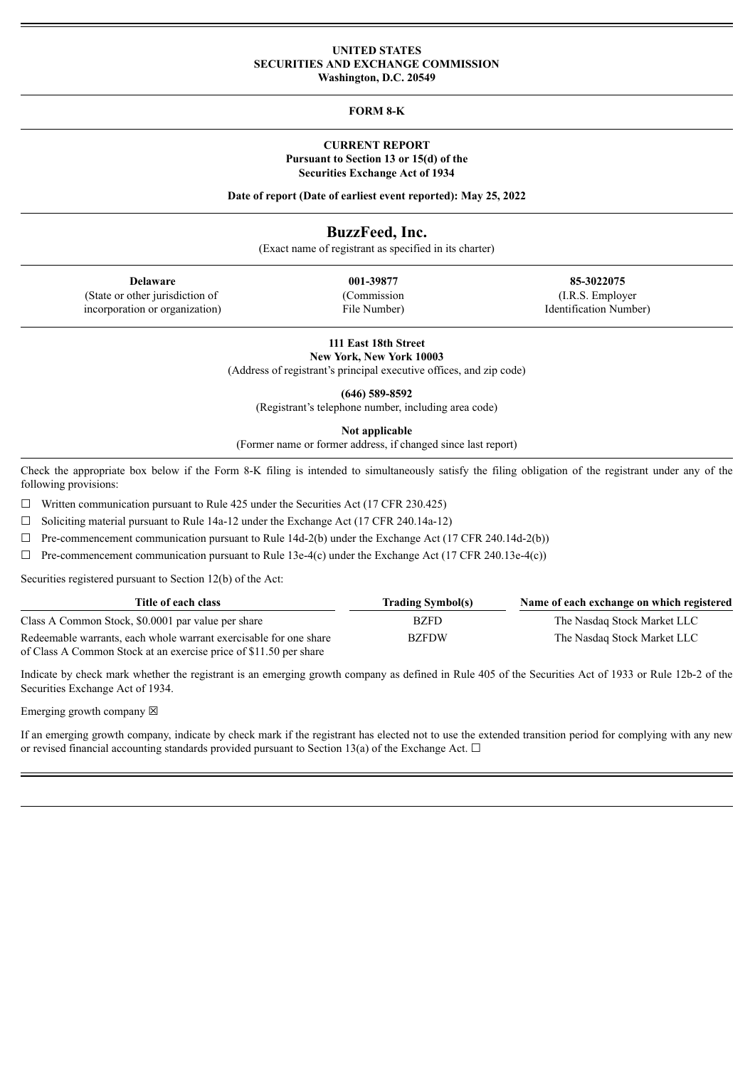#### **UNITED STATES SECURITIES AND EXCHANGE COMMISSION Washington, D.C. 20549**

### **FORM 8-K**

### **CURRENT REPORT Pursuant to Section 13 or 15(d) of the Securities Exchange Act of 1934**

**Date of report (Date of earliest event reported): May 25, 2022**

# **BuzzFeed, Inc.**

(Exact name of registrant as specified in its charter)

(State or other jurisdiction of incorporation or organization) (Commission File Number)

**Delaware 001-39877 85-3022075** (I.R.S. Employer Identification Number)

> **111 East 18th Street New York, New York 10003**

(Address of registrant's principal executive offices, and zip code)

**(646) 589-8592**

(Registrant's telephone number, including area code)

**Not applicable**

(Former name or former address, if changed since last report)

Check the appropriate box below if the Form 8-K filing is intended to simultaneously satisfy the filing obligation of the registrant under any of the following provisions:

 $\Box$  Written communication pursuant to Rule 425 under the Securities Act (17 CFR 230.425)

 $\Box$  Soliciting material pursuant to Rule 14a-12 under the Exchange Act (17 CFR 240.14a-12)

 $\Box$  Pre-commencement communication pursuant to Rule 14d-2(b) under the Exchange Act (17 CFR 240.14d-2(b))

 $\Box$  Pre-commencement communication pursuant to Rule 13e-4(c) under the Exchange Act (17 CFR 240.13e-4(c))

Securities registered pursuant to Section 12(b) of the Act:

| Title of each class                                               | <b>Trading Symbol(s)</b> | Name of each exchange on which registered |
|-------------------------------------------------------------------|--------------------------|-------------------------------------------|
| Class A Common Stock, \$0.0001 par value per share                | <b>BZFD</b>              | The Nasdag Stock Market LLC               |
| Redeemable warrants, each whole warrant exercisable for one share | <b>BZFDW</b>             | The Nasdag Stock Market LLC               |
| of Class A Common Stock at an exercise price of \$11.50 per share |                          |                                           |

Indicate by check mark whether the registrant is an emerging growth company as defined in Rule 405 of the Securities Act of 1933 or Rule 12b-2 of the Securities Exchange Act of 1934.

Emerging growth company  $\boxtimes$ 

If an emerging growth company, indicate by check mark if the registrant has elected not to use the extended transition period for complying with any new or revised financial accounting standards provided pursuant to Section 13(a) of the Exchange Act.  $\Box$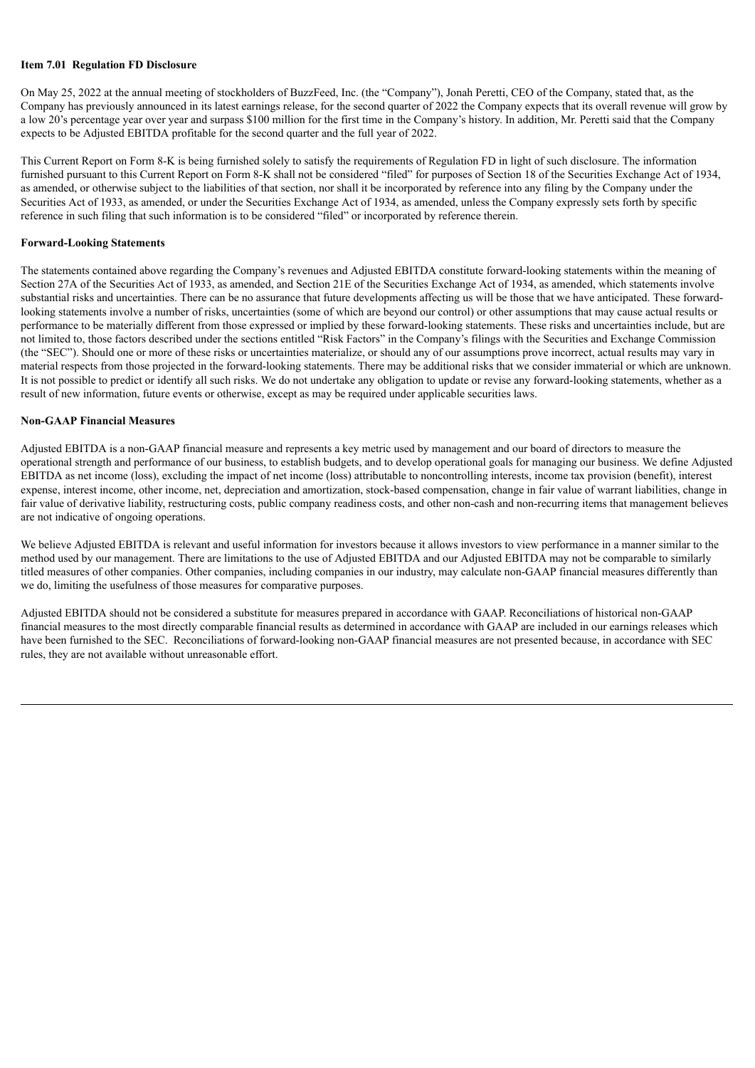#### **Item 7.01 Regulation FD Disclosure**

On May 25, 2022 at the annual meeting of stockholders of BuzzFeed, Inc. (the "Company"), Jonah Peretti, CEO of the Company, stated that, as the Company has previously announced in its latest earnings release, for the second quarter of 2022 the Company expects that its overall revenue will grow by a low 20's percentage year over year and surpass \$100 million for the first time in the Company's history. In addition, Mr. Peretti said that the Company expects to be Adjusted EBITDA profitable for the second quarter and the full year of 2022.

This Current Report on Form 8-K is being furnished solely to satisfy the requirements of Regulation FD in light of such disclosure. The information furnished pursuant to this Current Report on Form 8-K shall not be considered "filed" for purposes of Section 18 of the Securities Exchange Act of 1934, as amended, or otherwise subject to the liabilities of that section, nor shall it be incorporated by reference into any filing by the Company under the Securities Act of 1933, as amended, or under the Securities Exchange Act of 1934, as amended, unless the Company expressly sets forth by specific reference in such filing that such information is to be considered "filed" or incorporated by reference therein.

#### **Forward-Looking Statements**

The statements contained above regarding the Company's revenues and Adjusted EBITDA constitute forward-looking statements within the meaning of Section 27A of the Securities Act of 1933, as amended, and Section 21E of the Securities Exchange Act of 1934, as amended, which statements involve substantial risks and uncertainties. There can be no assurance that future developments affecting us will be those that we have anticipated. These forwardlooking statements involve a number of risks, uncertainties (some of which are beyond our control) or other assumptions that may cause actual results or performance to be materially different from those expressed or implied by these forward-looking statements. These risks and uncertainties include, but are not limited to, those factors described under the sections entitled "Risk Factors" in the Company's filings with the Securities and Exchange Commission (the "SEC"). Should one or more of these risks or uncertainties materialize, or should any of our assumptions prove incorrect, actual results may vary in material respects from those projected in the forward-looking statements. There may be additional risks that we consider immaterial or which are unknown. It is not possible to predict or identify all such risks. We do not undertake any obligation to update or revise any forward-looking statements, whether as a result of new information, future events or otherwise, except as may be required under applicable securities laws.

#### **Non-GAAP Financial Measures**

Adjusted EBITDA is a non-GAAP financial measure and represents a key metric used by management and our board of directors to measure the operational strength and performance of our business, to establish budgets, and to develop operational goals for managing our business. We define Adjusted EBITDA as net income (loss), excluding the impact of net income (loss) attributable to noncontrolling interests, income tax provision (benefit), interest expense, interest income, other income, net, depreciation and amortization, stock-based compensation, change in fair value of warrant liabilities, change in fair value of derivative liability, restructuring costs, public company readiness costs, and other non-cash and non-recurring items that management believes are not indicative of ongoing operations.

We believe Adjusted EBITDA is relevant and useful information for investors because it allows investors to view performance in a manner similar to the method used by our management. There are limitations to the use of Adjusted EBITDA and our Adjusted EBITDA may not be comparable to similarly titled measures of other companies. Other companies, including companies in our industry, may calculate non-GAAP financial measures differently than we do, limiting the usefulness of those measures for comparative purposes.

Adjusted EBITDA should not be considered a substitute for measures prepared in accordance with GAAP. Reconciliations of historical non-GAAP financial measures to the most directly comparable financial results as determined in accordance with GAAP are included in our earnings releases which have been furnished to the SEC. Reconciliations of forward-looking non-GAAP financial measures are not presented because, in accordance with SEC rules, they are not available without unreasonable effort.